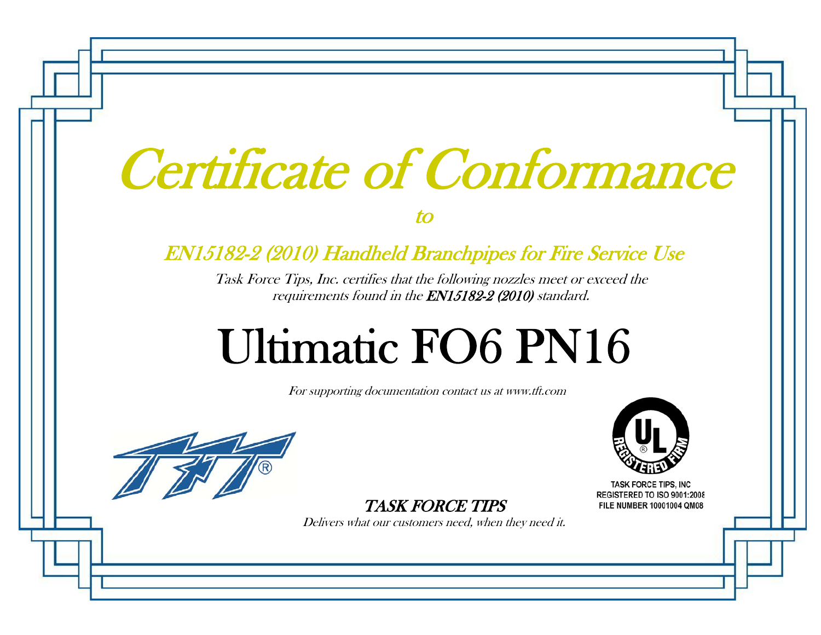# Certificate of Conformance

to

#### EN15182-2 (2010) Handheld Branchpipes for Fire Service Use

Task Force Tips, Inc. certifies that the following nozzles meet or exceed the requirements found in the EN15182-2 (2010) standard.

## Ultimatic FO6 PN16

For supporting documentation contact us at www.tft.com



REGISTERED TO ISO 9001:2008 FILE NUMBER 10001004 QM08

TASK FORCE TIPS

Delivers what our customers need, when they need it.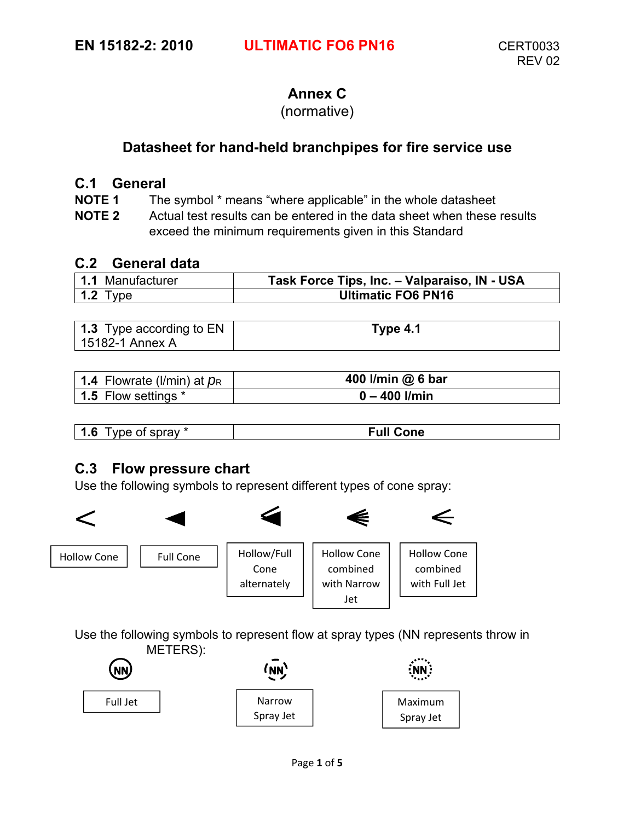#### **Annex C**

#### (normative)

#### **Datasheet for hand-held branchpipes for fire service use**

#### **C.1 General**

**NOTE 1** The symbol \* means "where applicable" in the whole datasheet

**NOTE 2** Actual test results can be entered in the data sheet when these results exceed the minimum requirements given in this Standard

#### **C.2 General data**

| 1.1 Manufacturer | Task Force Tips, Inc. - Valparaiso, IN - USA |
|------------------|----------------------------------------------|
| 1.2 Type         | <b>Ultimatic FO6 PN16</b>                    |

| <b>1.3</b> Type according to EN | Type 4.1 |
|---------------------------------|----------|
| 15182-1 Annex A                 |          |

| 1.4 Flowrate (I/min) at $p_R$ | 400 I/min @ 6 bar |
|-------------------------------|-------------------|
| 1.5 Flow settings *           | $0 - 400$ I/min   |

| $\overline{\phantom{a}}$<br>$\overline{\phantom{a}}$<br>sprav <sup>*</sup><br>--<br>$\sim$<br>റ്റ<br>vu⊢ | r. II<br>one<br>. |
|----------------------------------------------------------------------------------------------------------|-------------------|

#### **C.3 Flow pressure chart**

Use the following symbols to represent different types of cone spray:



Use the following symbols to represent flow at spray types (NN represents throw in METERS):

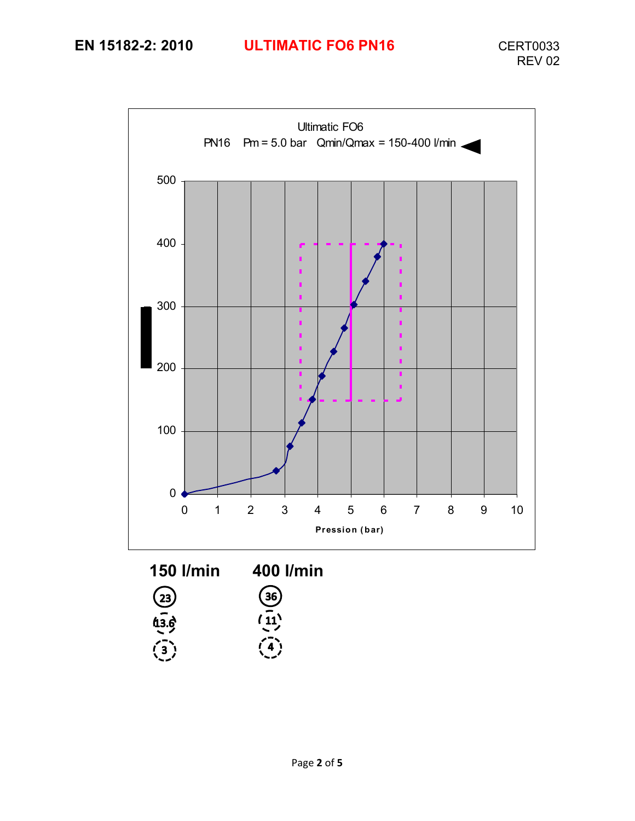### **EN 15182-2: 2010 ULTIMATIC FO6 PN16** CERT0033

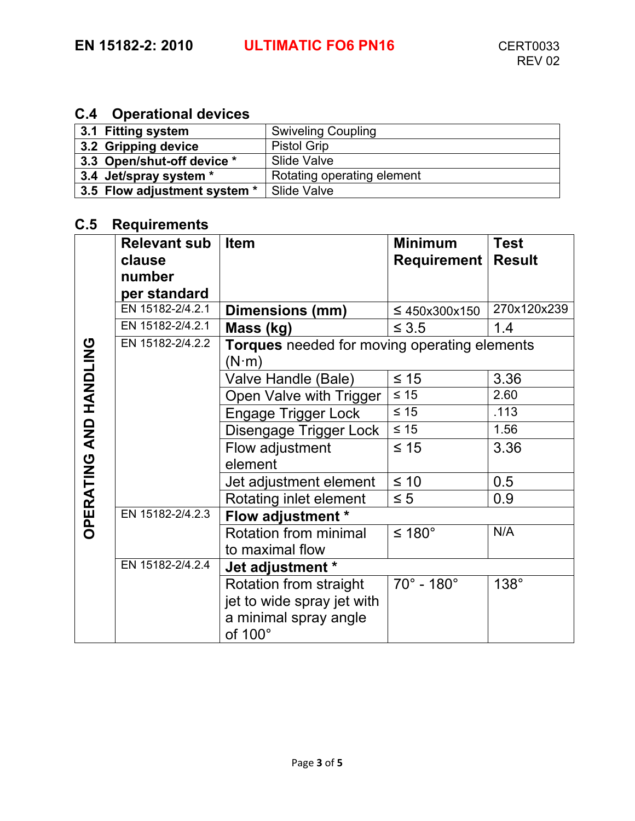#### **C.4 Operational devices**

| 3.1 Fitting system           | <b>Swiveling Coupling</b>  |
|------------------------------|----------------------------|
| 3.2 Gripping device          | <b>Pistol Grip</b>         |
| 3.3 Open/shut-off device *   | Slide Valve                |
| 3.4 Jet/spray system *       | Rotating operating element |
| 3.5 Flow adjustment system * | Slide Valve                |

#### **C.5 Requirements**

|                               | <b>Relevant sub</b> | <b>Item</b>                                  | <b>Minimum</b>                | <b>Test</b>   |
|-------------------------------|---------------------|----------------------------------------------|-------------------------------|---------------|
|                               | clause              |                                              | Requirement                   | <b>Result</b> |
|                               | number              |                                              |                               |               |
|                               | per standard        |                                              |                               |               |
|                               | EN 15182-2/4.2.1    | Dimensions (mm)                              | $\leq 450x300x150$            | 270x120x239   |
|                               | EN 15182-2/4.2.1    | Mass (kg)                                    | $\leq 3.5$                    | 1.4           |
|                               | EN 15182-2/4.2.2    | Torques needed for moving operating elements |                               |               |
|                               |                     | $(N \cdot m)$                                |                               |               |
|                               |                     | Valve Handle (Bale)                          | $\leq 15$                     | 3.36          |
|                               |                     | Open Valve with Trigger                      | $\leq 15$                     | 2.60          |
|                               |                     | <b>Engage Trigger Lock</b>                   | $\leq 15$                     | .113          |
|                               |                     | Disengage Trigger Lock                       | $\leq 15$                     | 1.56          |
| <b>OPERATING AND HANDLING</b> |                     | Flow adjustment                              | $\leq 15$                     | 3.36          |
|                               |                     | element                                      |                               |               |
|                               |                     | Jet adjustment element                       | $\leq 10$                     | 0.5           |
|                               |                     | Rotating inlet element                       | $\leq 5$                      | 0.9           |
|                               | EN 15182-2/4.2.3    | Flow adjustment *                            |                               |               |
|                               |                     | Rotation from minimal                        | ≤ 180°                        | N/A           |
|                               |                     | to maximal flow                              |                               |               |
|                               | EN 15182-2/4.2.4    | Jet adjustment *                             |                               |               |
|                               |                     | Rotation from straight                       | $70^{\circ}$ - 180 $^{\circ}$ | 138°          |
|                               |                     | jet to wide spray jet with                   |                               |               |
|                               |                     | a minimal spray angle<br>of 100°             |                               |               |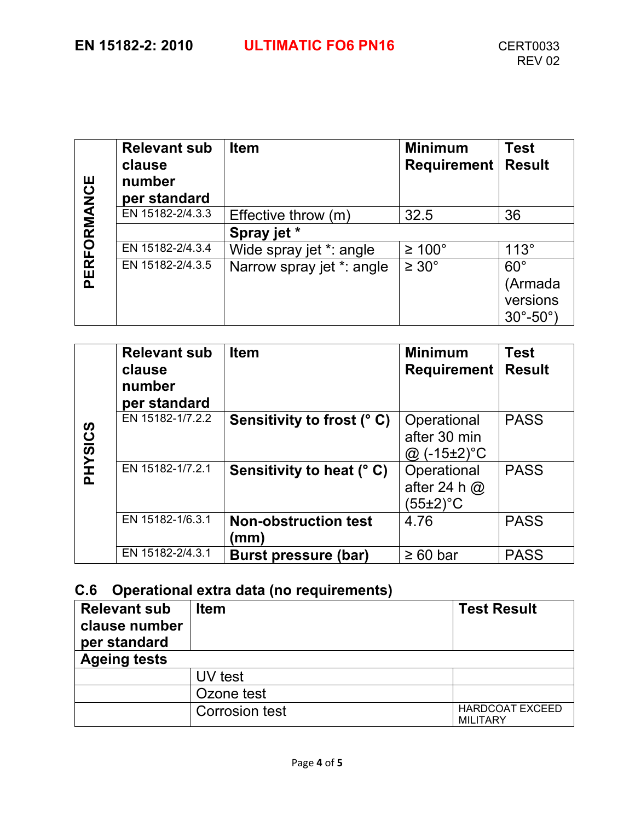|             | <b>Relevant sub</b><br>clause<br>number<br>per standard | <b>Item</b>               | <b>Minimum</b><br><b>Requirement</b> | <b>Test</b><br><b>Result</b>      |
|-------------|---------------------------------------------------------|---------------------------|--------------------------------------|-----------------------------------|
|             | EN 15182-2/4.3.3                                        | Effective throw (m)       | 32.5                                 | 36                                |
|             |                                                         | Spray jet *               |                                      |                                   |
|             | EN 15182-2/4.3.4                                        | Wide spray jet *: angle   | $\geq 100^{\circ}$                   | $113^\circ$                       |
| PERFORMANCE | EN 15182-2/4.3.5                                        | Narrow spray jet *: angle | $\geq 30^{\circ}$                    | $60^\circ$<br>(Armada<br>versions |
|             |                                                         |                           |                                      | $30^{\circ} - 50^{\circ}$         |

|         | <b>Relevant sub</b><br>clause<br>number<br>per standard | <b>Item</b>                        | <b>Minimum</b><br><b>Requirement</b>               | <b>Test</b><br><b>Result</b> |
|---------|---------------------------------------------------------|------------------------------------|----------------------------------------------------|------------------------------|
| PHYSICS | EN 15182-1/7.2.2                                        | Sensitivity to frost (°C)          | Operational<br>after 30 min<br>$(-15\pm2)$ °C<br>@ | <b>PASS</b>                  |
|         | EN 15182-1/7.2.1                                        | Sensitivity to heat (° C)          | Operational<br>after 24 h $@$<br>$(55\pm2)$ °C     | <b>PASS</b>                  |
|         | EN 15182-1/6.3.1                                        | <b>Non-obstruction test</b><br>(mm | 4.76                                               | <b>PASS</b>                  |
|         | EN 15182-2/4.3.1                                        | Burst pressure (bar)               | $\geq 60$ bar                                      | <b>PASS</b>                  |

#### **C.6 Operational extra data (no requirements)**

| <b>Relevant sub</b><br>clause number<br>per standard | <b>Item</b>    | <b>Test Result</b>                        |
|------------------------------------------------------|----------------|-------------------------------------------|
| <b>Ageing tests</b>                                  |                |                                           |
|                                                      | UV test        |                                           |
|                                                      | Ozone test     |                                           |
|                                                      | Corrosion test | <b>HARDCOAT EXCEED</b><br><b>MILITARY</b> |